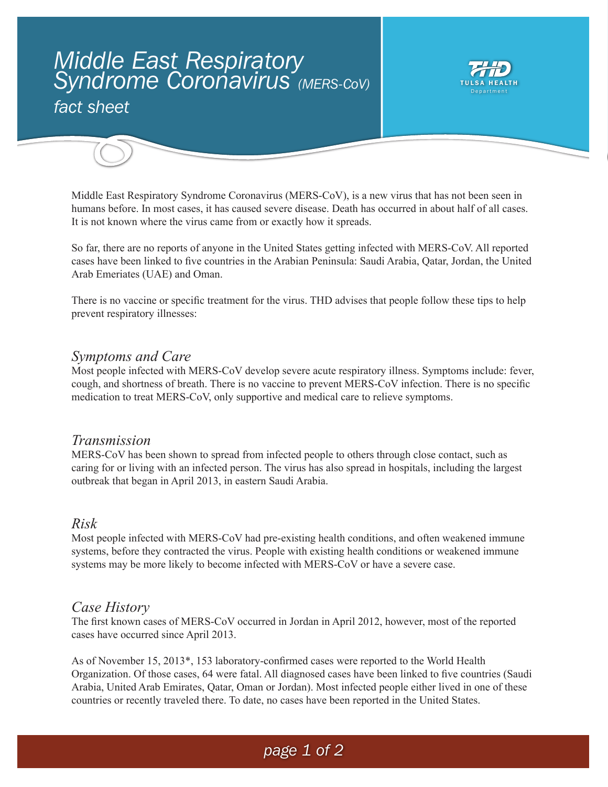# *Middle East Respiratory Syndrome Coronavirus (MERS-CoV) fact sheet*



Middle East Respiratory Syndrome Coronavirus (MERS-CoV), is a new virus that has not been seen in humans before. In most cases, it has caused severe disease. Death has occurred in about half of all cases. It is not known where the virus came from or exactly how it spreads.

So far, there are no reports of anyone in the United States getting infected with MERS-CoV. All reported cases have been linked to five countries in the Arabian Peninsula: Saudi Arabia, Qatar, Jordan, the United Arab Emeriates (UAE) and Oman.

There is no vaccine or specific treatment for the virus. THD advises that people follow these tips to help prevent respiratory illnesses:

### *Symptoms and Care*

Most people infected with MERS-CoV develop severe acute respiratory illness. Symptoms include: fever, cough, and shortness of breath. There is no vaccine to prevent MERS-CoV infection. There is no specific medication to treat MERS-CoV, only supportive and medical care to relieve symptoms.

### *Transmission*

MERS-CoV has been shown to spread from infected people to others through close contact, such as caring for or living with an infected person. The virus has also spread in hospitals, including the largest outbreak that began in April 2013, in eastern Saudi Arabia.

#### *Risk*

Most people infected with MERS-CoV had pre-existing health conditions, and often weakened immune systems, before they contracted the virus. People with existing health conditions or weakened immune systems may be more likely to become infected with MERS-CoV or have a severe case.

### *Case History*

The first known cases of MERS-CoV occurred in Jordan in April 2012, however, most of the reported cases have occurred since April 2013.

As of November 15, 2013\*, 153 laboratory-confirmed cases were reported to the World Health Organization. Of those cases, 64 were fatal. All diagnosed cases have been linked to five countries (Saudi Arabia, United Arab Emirates, Qatar, Oman or Jordan). Most infected people either lived in one of these countries or recently traveled there. To date, no cases have been reported in the United States.

# *page 1 of 2*